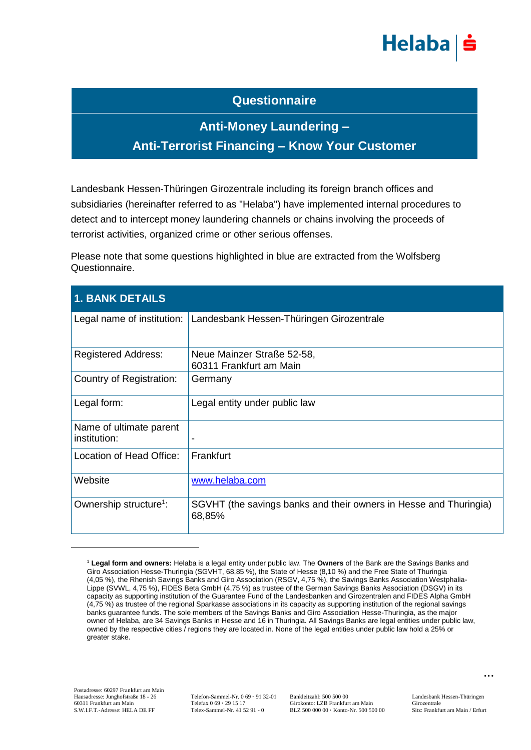

## **Questionnaire**

## **Anti-Money Laundering – Anti-Terrorist Financing – Know Your Customer**

Landesbank Hessen-Thüringen Girozentrale including its foreign branch offices and subsidiaries (hereinafter referred to as "Helaba") have implemented internal procedures to detect and to intercept money laundering channels or chains involving the proceeds of terrorist activities, organized crime or other serious offenses.

Please note that some questions highlighted in blue are extracted from the Wolfsberg Questionnaire.

| <b>1. BANK DETAILS</b>                  |                                                                             |
|-----------------------------------------|-----------------------------------------------------------------------------|
| Legal name of institution:              | Landesbank Hessen-Thüringen Girozentrale                                    |
| <b>Registered Address:</b>              | Neue Mainzer Straße 52-58,<br>60311 Frankfurt am Main                       |
| Country of Registration:                | Germany                                                                     |
| Legal form:                             | Legal entity under public law                                               |
| Name of ultimate parent<br>institution: | $\blacksquare$                                                              |
| Location of Head Office:                | Frankfurt                                                                   |
| Website                                 | www.helaba.com                                                              |
| Ownership structure <sup>1</sup> :      | SGVHT (the savings banks and their owners in Hesse and Thuringia)<br>68,85% |

<sup>1</sup> **Legal form and owners:** Helaba is a legal entity under public law. The **Owners** of the Bank are the Savings Banks and Giro Association Hesse-Thuringia (SGVHT, 68,85 %), the State of Hesse (8,10 %) and the Free State of Thuringia (4,05 %), the Rhenish Savings Banks and Giro Association (RSGV, 4,75 %), the Savings Banks Association Westphalia-Lippe (SVWL, 4,75 %), FIDES Beta GmbH (4,75 %) as trustee of the German Savings Banks Association (DSGV) in its capacity as supporting institution of the Guarantee Fund of the Landesbanken and Girozentralen and FIDES Alpha GmbH (4,75 %) as trustee of the regional Sparkasse associations in its capacity as supporting institution of the regional savings banks guarantee funds. The sole members of the Savings Banks and Giro Association Hesse-Thuringia, as the major owner of Helaba, are 34 Savings Banks in Hesse and 16 in Thuringia. All Savings Banks are legal entities under public law, owned by the respective cities / regions they are located in. None of the legal entities under public law hold a 25% or greater stake.

<u>.</u>

Hausadresse: Junghofstraße 18 - 26 Telefon-Sammel-Nr. 0 69 · 91 32-01 Bankleitzahl: 500 500 00 Landesbank Hessen-Thüringen<br>60311 Frankfurt am Main Girozentrale Girozentrale Girozentrale 60311 Frankfurt am Main Telefax 0 69 **·** 29 15 17 Girokonto: LZB Frankfurt am Main Girozentrale<br>
S.W.I.F.T.-Adresse: HELA DE FF Telex-Sammel-Nr. 41 52 91 - 0 BLZ 500 000 00 · Konto-Nr. 500 500 00 Sitz: Frankfurt am Main / BLZ 500 000 00 · Konto-Nr. 500 500 00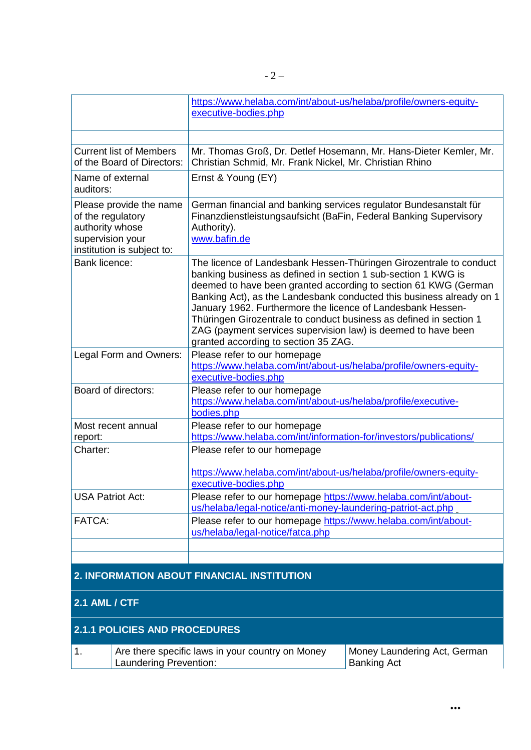|                                                                                                                   | https://www.helaba.com/int/about-us/helaba/profile/owners-equity-<br>executive-bodies.php                                                                                                                                                                                                                                                                                                                                                                                                                                    |
|-------------------------------------------------------------------------------------------------------------------|------------------------------------------------------------------------------------------------------------------------------------------------------------------------------------------------------------------------------------------------------------------------------------------------------------------------------------------------------------------------------------------------------------------------------------------------------------------------------------------------------------------------------|
|                                                                                                                   |                                                                                                                                                                                                                                                                                                                                                                                                                                                                                                                              |
| <b>Current list of Members</b><br>of the Board of Directors:                                                      | Mr. Thomas Groß, Dr. Detlef Hosemann, Mr. Hans-Dieter Kemler, Mr.<br>Christian Schmid, Mr. Frank Nickel, Mr. Christian Rhino                                                                                                                                                                                                                                                                                                                                                                                                 |
| Name of external<br>auditors:                                                                                     | Ernst & Young (EY)                                                                                                                                                                                                                                                                                                                                                                                                                                                                                                           |
| Please provide the name<br>of the regulatory<br>authority whose<br>supervision your<br>institution is subject to: | German financial and banking services regulator Bundesanstalt für<br>Finanzdienstleistungsaufsicht (BaFin, Federal Banking Supervisory<br>Authority).<br>www.bafin.de                                                                                                                                                                                                                                                                                                                                                        |
| Bank licence:                                                                                                     | The licence of Landesbank Hessen-Thüringen Girozentrale to conduct<br>banking business as defined in section 1 sub-section 1 KWG is<br>deemed to have been granted according to section 61 KWG (German<br>Banking Act), as the Landesbank conducted this business already on 1<br>January 1962. Furthermore the licence of Landesbank Hessen-<br>Thüringen Girozentrale to conduct business as defined in section 1<br>ZAG (payment services supervision law) is deemed to have been<br>granted according to section 35 ZAG. |
| Legal Form and Owners:                                                                                            | Please refer to our homepage<br>https://www.helaba.com/int/about-us/helaba/profile/owners-equity-<br>executive-bodies.php                                                                                                                                                                                                                                                                                                                                                                                                    |
| Board of directors:                                                                                               | Please refer to our homepage<br>https://www.helaba.com/int/about-us/helaba/profile/executive-<br>bodies.php                                                                                                                                                                                                                                                                                                                                                                                                                  |
| Most recent annual<br>report:                                                                                     | Please refer to our homepage<br>https://www.helaba.com/int/information-for/investors/publications/                                                                                                                                                                                                                                                                                                                                                                                                                           |
| Charter:                                                                                                          | Please refer to our homepage                                                                                                                                                                                                                                                                                                                                                                                                                                                                                                 |
|                                                                                                                   | https://www.helaba.com/int/about-us/helaba/profile/owners-equity-<br>executive-bodies.php                                                                                                                                                                                                                                                                                                                                                                                                                                    |
| <b>USA Patriot Act:</b>                                                                                           | Please refer to our homepage https://www.helaba.com/int/about-<br>us/helaba/legal-notice/anti-money-laundering-patriot-act.php                                                                                                                                                                                                                                                                                                                                                                                               |
| <b>FATCA:</b>                                                                                                     | Please refer to our homepage https://www.helaba.com/int/about-<br>us/helaba/legal-notice/fatca.php                                                                                                                                                                                                                                                                                                                                                                                                                           |
|                                                                                                                   |                                                                                                                                                                                                                                                                                                                                                                                                                                                                                                                              |
|                                                                                                                   | 2. INFORMATION ABOUT FINANCIAL INSTITUTION                                                                                                                                                                                                                                                                                                                                                                                                                                                                                   |
| <b>2.1 AML / CTF</b>                                                                                              |                                                                                                                                                                                                                                                                                                                                                                                                                                                                                                                              |

## **2.1.1 POLICIES AND PROCEDURES**

| Are there specific laws in your country on Money | Money Laundering Act, German |
|--------------------------------------------------|------------------------------|
| Laundering Prevention:                           | <b>Banking Act</b>           |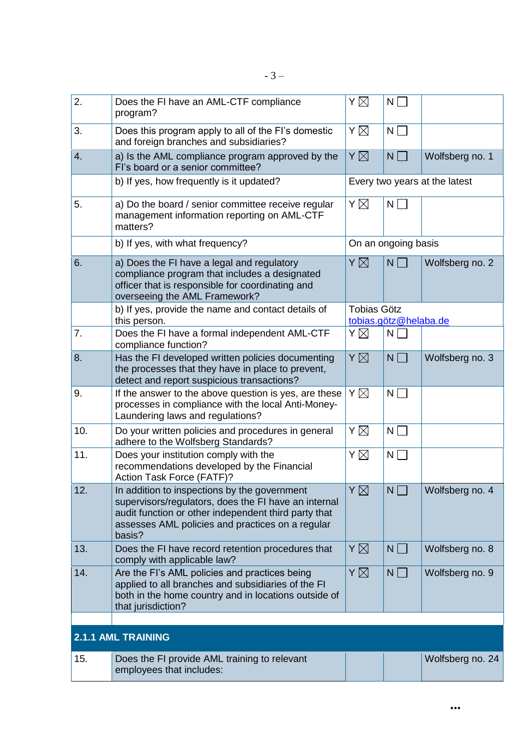| 2.  | Does the FI have an AML-CTF compliance<br>program?                                                                                                                                                                         | Υ⊠                 | $N\Box$               |                               |
|-----|----------------------------------------------------------------------------------------------------------------------------------------------------------------------------------------------------------------------------|--------------------|-----------------------|-------------------------------|
| 3.  | Does this program apply to all of the FI's domestic<br>and foreign branches and subsidiaries?                                                                                                                              | Υ⊠                 | $N\Box$               |                               |
| 4.  | a) Is the AML compliance program approved by the<br>Fl's board or a senior committee?                                                                                                                                      | $Y\boxtimes$       | $N \Box$              | Wolfsberg no. 1               |
|     | b) If yes, how frequently is it updated?                                                                                                                                                                                   |                    |                       | Every two years at the latest |
| 5.  | a) Do the board / senior committee receive regular<br>management information reporting on AML-CTF<br>matters?                                                                                                              | Υ⊠                 | $N \Box$              |                               |
|     | b) If yes, with what frequency?                                                                                                                                                                                            |                    | On an ongoing basis   |                               |
| 6.  | a) Does the FI have a legal and regulatory<br>compliance program that includes a designated<br>officer that is responsible for coordinating and<br>overseeing the AML Framework?                                           | Y $\boxtimes$      | $N \Box$              | Wolfsberg no. 2               |
|     | b) If yes, provide the name and contact details of<br>this person.                                                                                                                                                         | <b>Tobias Götz</b> | tobias.götz@helaba.de |                               |
| 7.  | Does the FI have a formal independent AML-CTF<br>compliance function?                                                                                                                                                      | ΥÑ                 | $N \Box$              |                               |
| 8.  | Has the FI developed written policies documenting<br>the processes that they have in place to prevent,<br>detect and report suspicious transactions?                                                                       | $Y\boxtimes$       | $N \Box$              | Wolfsberg no. 3               |
| 9.  | If the answer to the above question is yes, are these<br>processes in compliance with the local Anti-Money-<br>Laundering laws and regulations?                                                                            | Υ⊠                 | $N \Box$              |                               |
| 10. | Do your written policies and procedures in general<br>adhere to the Wolfsberg Standards?                                                                                                                                   | Υ⊠                 | $N \Box$              |                               |
| 11. | Does your institution comply with the<br>recommendations developed by the Financial<br>Action Task Force (FATF)?                                                                                                           | Y $\boxtimes$      | $N \Box$              |                               |
| 12. | In addition to inspections by the government<br>supervisors/regulators, does the FI have an internal<br>audit function or other independent third party that<br>assesses AML policies and practices on a regular<br>basis? | $Y\boxtimes$       | $N \square$           | Wolfsberg no. 4               |
| 13. | Does the FI have record retention procedures that<br>comply with applicable law?                                                                                                                                           | Y $\boxtimes$      | $N \Box$              | Wolfsberg no. 8               |
| 14. | Are the FI's AML policies and practices being<br>applied to all branches and subsidiaries of the FI<br>both in the home country and in locations outside of<br>that jurisdiction?                                          | Y $\boxtimes$      | $N \Box$              | Wolfsberg no. 9               |
|     |                                                                                                                                                                                                                            |                    |                       |                               |
|     | <b>2.1.1 AML TRAINING</b>                                                                                                                                                                                                  |                    |                       |                               |
| 15. | Does the FI provide AML training to relevant<br>employees that includes:                                                                                                                                                   |                    |                       | Wolfsberg no. 24              |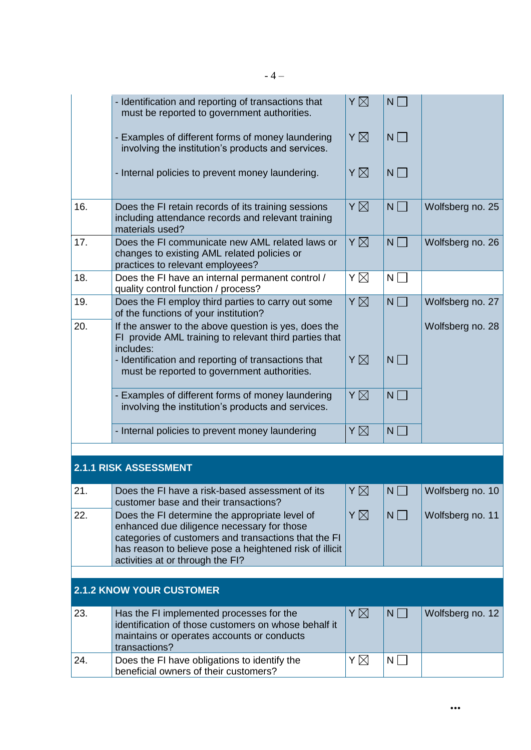|     | - Identification and reporting of transactions that<br>must be reported to government authorities.                                                                                                                                                  | $Y\boxtimes$  | $N \Box$    |                  |
|-----|-----------------------------------------------------------------------------------------------------------------------------------------------------------------------------------------------------------------------------------------------------|---------------|-------------|------------------|
|     | - Examples of different forms of money laundering<br>involving the institution's products and services.                                                                                                                                             | ΥÑ            | $N\Box$     |                  |
|     | - Internal policies to prevent money laundering.                                                                                                                                                                                                    | ΥØ            | $N \Box$    |                  |
| 16. | Does the FI retain records of its training sessions<br>including attendance records and relevant training<br>materials used?                                                                                                                        | ΥØ            | $N \Box$    | Wolfsberg no. 25 |
| 17. | Does the FI communicate new AML related laws or<br>changes to existing AML related policies or<br>practices to relevant employees?                                                                                                                  | Υ⊠            | $N \Box$    | Wolfsberg no. 26 |
| 18. | Does the FI have an internal permanent control /<br>quality control function / process?                                                                                                                                                             | Υ⊠            | $N \Box$    |                  |
| 19. | Does the FI employ third parties to carry out some<br>of the functions of your institution?                                                                                                                                                         | Y X           | $N \Box$    | Wolfsberg no. 27 |
| 20. | If the answer to the above question is yes, does the<br>FI provide AML training to relevant third parties that<br>includes:                                                                                                                         |               |             | Wolfsberg no. 28 |
|     | - Identification and reporting of transactions that<br>must be reported to government authorities.                                                                                                                                                  | ΥØ            | $N \Box$    |                  |
|     | - Examples of different forms of money laundering<br>involving the institution's products and services.                                                                                                                                             | Y X           | $N \Box$    |                  |
|     | - Internal policies to prevent money laundering                                                                                                                                                                                                     | ΥØ            | $N \Box$    |                  |
|     |                                                                                                                                                                                                                                                     |               |             |                  |
|     | <b>2.1.1 RISK ASSESSMENT</b>                                                                                                                                                                                                                        |               |             |                  |
| 21. | Does the FI have a risk-based assessment of its<br>customer base and their transactions?                                                                                                                                                            | $Y \boxtimes$ | $N \square$ | Wolfsberg no. 10 |
| 22. | Does the FI determine the appropriate level of<br>enhanced due diligence necessary for those<br>categories of customers and transactions that the FI<br>has reason to believe pose a heightened risk of illicit<br>activities at or through the FI? | Y $\boxtimes$ | $N \Box$    | Wolfsberg no. 11 |
|     |                                                                                                                                                                                                                                                     |               |             |                  |
|     | <b>2.1.2 KNOW YOUR CUSTOMER</b>                                                                                                                                                                                                                     |               |             |                  |
| 23. | Has the FI implemented processes for the<br>identification of those customers on whose behalf it<br>maintains or operates accounts or conducts<br>transactions?                                                                                     | Y⊠            | $N \Box$    | Wolfsberg no. 12 |
| 24. | Does the FI have obligations to identify the<br>beneficial owners of their customers?                                                                                                                                                               | Y⊠            | $N \Box$    |                  |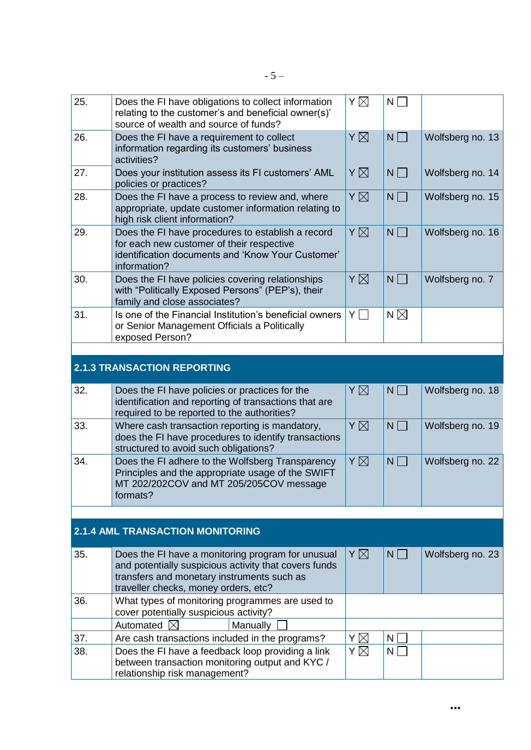| 25. | Does the FI have obligations to collect information<br>relating to the customer's and beneficial owner(s)'<br>source of wealth and source of funds?                                              | Υ⊠            | $N \Box$      |                  |
|-----|--------------------------------------------------------------------------------------------------------------------------------------------------------------------------------------------------|---------------|---------------|------------------|
| 26. | Does the FI have a requirement to collect<br>information regarding its customers' business<br>activities?                                                                                        | $Y\boxtimes$  | $N \prod$     | Wolfsberg no. 13 |
| 27. | Does your institution assess its FI customers' AML<br>policies or practices?                                                                                                                     | ΥØ            | $N \Box$      | Wolfsberg no. 14 |
| 28. | Does the FI have a process to review and, where<br>appropriate, update customer information relating to<br>high risk client information?                                                         | $Y\boxtimes$  | $N \Box$      | Wolfsberg no. 15 |
| 29. | Does the FI have procedures to establish a record<br>for each new customer of their respective<br>identification documents and 'Know Your Customer'<br>information?                              | ΥØ            | $N \Box$      | Wolfsberg no. 16 |
| 30. | Does the FI have policies covering relationships<br>with "Politically Exposed Persons" (PEP's), their<br>family and close associates?                                                            | Y $\boxtimes$ | $N\Box$       | Wolfsberg no. 7  |
| 31. | Is one of the Financial Institution's beneficial owners<br>or Senior Management Officials a Politically<br>exposed Person?                                                                       | YΠ            | N $\boxtimes$ |                  |
|     |                                                                                                                                                                                                  |               |               |                  |
|     | <b>2.1.3 TRANSACTION REPORTING</b>                                                                                                                                                               |               |               |                  |
| 32. | Does the FI have policies or practices for the<br>identification and reporting of transactions that are<br>required to be reported to the authorities?                                           | ΥØ            | $N \Box$      | Wolfsberg no. 18 |
| 33. | Where cash transaction reporting is mandatory,<br>does the FI have procedures to identify transactions<br>structured to avoid such obligations?                                                  | ΥØ            | $N \Box$      | Wolfsberg no. 19 |
| 34. | Does the FI adhere to the Wolfsberg Transparency<br>Principles and the appropriate usage of the SWIFT<br>MT 202/202COV and MT 205/205COV message<br>formats?                                     | ΥÑ            | $N\sqrt{2}$   | Wolfsberg no. 22 |
|     |                                                                                                                                                                                                  |               |               |                  |
|     | <b>2.1.4 AML TRANSACTION MONITORING</b>                                                                                                                                                          |               |               |                  |
| 35. | Does the FI have a monitoring program for unusual<br>and potentially suspicious activity that covers funds<br>transfers and monetary instruments such as<br>traveller checks, money orders, etc? | Y $\boxtimes$ | $N \Box$      | Wolfsberg no. 23 |
| 36. | What types of monitoring programmes are used to<br>cover potentially suspicious activity?                                                                                                        |               |               |                  |
|     | Automated $\boxtimes$<br>Manually                                                                                                                                                                |               |               |                  |
| 37. | Are cash transactions included in the programs?                                                                                                                                                  | ΥØ            | N             |                  |
| 38. | Does the FI have a feedback loop providing a link<br>between transaction monitoring output and KYC /<br>relationship risk management?                                                            | Υ⊠            | $N \Box$      |                  |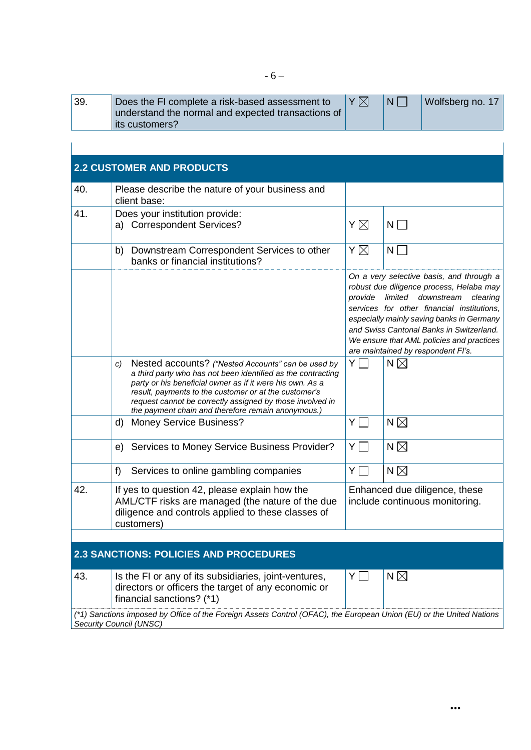| 39. | Does the FI complete a risk-based assessment to    | Y X | 'N L | Wolfsberg no. 17 |
|-----|----------------------------------------------------|-----|------|------------------|
|     | understand the normal and expected transactions of |     |      |                  |
|     | its customers?                                     |     |      |                  |

|     | <b>2.2 CUSTOMER AND PRODUCTS</b>                                                                                                                                                                                                                                                                                                                                  |                                                                 |                                                                                                                                                                                                                                                                                                                                                  |  |
|-----|-------------------------------------------------------------------------------------------------------------------------------------------------------------------------------------------------------------------------------------------------------------------------------------------------------------------------------------------------------------------|-----------------------------------------------------------------|--------------------------------------------------------------------------------------------------------------------------------------------------------------------------------------------------------------------------------------------------------------------------------------------------------------------------------------------------|--|
| 40. | Please describe the nature of your business and<br>client base:                                                                                                                                                                                                                                                                                                   |                                                                 |                                                                                                                                                                                                                                                                                                                                                  |  |
| 41. | Does your institution provide:<br>a) Correspondent Services?                                                                                                                                                                                                                                                                                                      | ΥÑ                                                              | $N\Box$                                                                                                                                                                                                                                                                                                                                          |  |
|     | Downstream Correspondent Services to other<br>b)<br>banks or financial institutions?                                                                                                                                                                                                                                                                              | Υ⊠                                                              | $N \mid$                                                                                                                                                                                                                                                                                                                                         |  |
|     |                                                                                                                                                                                                                                                                                                                                                                   | provide                                                         | On a very selective basis, and through a<br>robust due diligence process, Helaba may<br>limited downstream<br>clearing<br>services for other financial institutions,<br>especially mainly saving banks in Germany<br>and Swiss Cantonal Banks in Switzerland.<br>We ensure that AML policies and practices<br>are maintained by respondent FI's. |  |
|     | Nested accounts? ("Nested Accounts" can be used by<br>C)<br>a third party who has not been identified as the contracting<br>party or his beneficial owner as if it were his own. As a<br>result, payments to the customer or at the customer's<br>request cannot be correctly assigned by those involved in<br>the payment chain and therefore remain anonymous.) | YΠ                                                              | N $\boxtimes$                                                                                                                                                                                                                                                                                                                                    |  |
|     | d)<br><b>Money Service Business?</b>                                                                                                                                                                                                                                                                                                                              | ΥI                                                              | N $\boxtimes$                                                                                                                                                                                                                                                                                                                                    |  |
|     | Services to Money Service Business Provider?<br>e)                                                                                                                                                                                                                                                                                                                | YΠ                                                              | N $\boxtimes$                                                                                                                                                                                                                                                                                                                                    |  |
|     | f)<br>Services to online gambling companies                                                                                                                                                                                                                                                                                                                       | $Y\Box$                                                         | N $\boxtimes$                                                                                                                                                                                                                                                                                                                                    |  |
| 42. | If yes to question 42, please explain how the<br>AML/CTF risks are managed (the nature of the due<br>diligence and controls applied to these classes of<br>customers)                                                                                                                                                                                             | Enhanced due diligence, these<br>include continuous monitoring. |                                                                                                                                                                                                                                                                                                                                                  |  |
|     |                                                                                                                                                                                                                                                                                                                                                                   |                                                                 |                                                                                                                                                                                                                                                                                                                                                  |  |
|     | <b>2.3 SANCTIONS: POLICIES AND PROCEDURES</b>                                                                                                                                                                                                                                                                                                                     |                                                                 |                                                                                                                                                                                                                                                                                                                                                  |  |
| 43. | Is the FI or any of its subsidiaries, joint-ventures,<br>directors or officers the target of any economic or<br>financial sanctions? (*1)                                                                                                                                                                                                                         | $Y \Box$                                                        | N $\boxtimes$                                                                                                                                                                                                                                                                                                                                    |  |
|     | (*1) Sanctions imposed by Office of the Foreign Assets Control (OFAC), the European Union (EU) or the United Nations<br>Security Council (UNSC)                                                                                                                                                                                                                   |                                                                 |                                                                                                                                                                                                                                                                                                                                                  |  |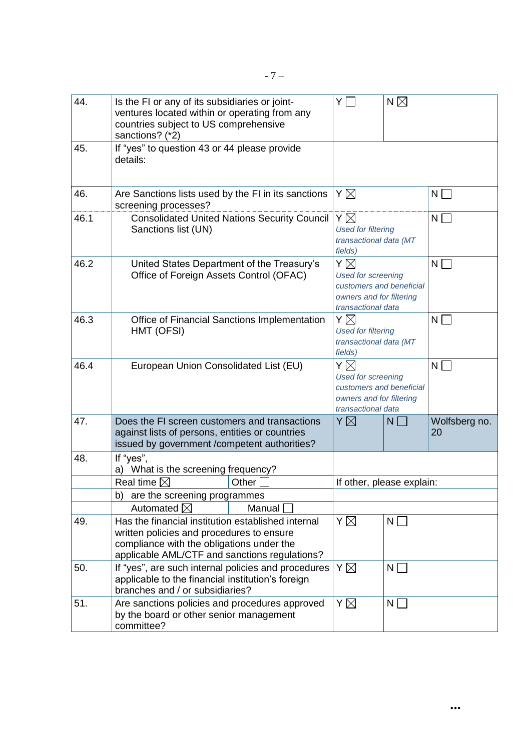| 44.  | Is the FI or any of its subsidiaries or joint-<br>ventures located within or operating from any<br>countries subject to US comprehensive<br>sanctions? (*2)                                   | Y                                                                                                                  | N $\boxtimes$ |                     |
|------|-----------------------------------------------------------------------------------------------------------------------------------------------------------------------------------------------|--------------------------------------------------------------------------------------------------------------------|---------------|---------------------|
| 45.  | If "yes" to question 43 or 44 please provide<br>details:                                                                                                                                      |                                                                                                                    |               |                     |
| 46.  | Are Sanctions lists used by the FI in its sanctions<br>screening processes?                                                                                                                   | Y⊠                                                                                                                 |               | $\mathsf{N}$        |
| 46.1 | <b>Consolidated United Nations Security Council</b><br>Sanctions list (UN)                                                                                                                    | Y $\boxtimes$<br><b>Used for filtering</b><br>transactional data (MT<br>fields)                                    |               | N                   |
| 46.2 | United States Department of the Treasury's<br>Office of Foreign Assets Control (OFAC)                                                                                                         | ΥÑ<br><b>Used for screening</b><br>customers and beneficial<br>owners and for filtering<br>transactional data      |               | N                   |
| 46.3 | Office of Financial Sanctions Implementation<br>HMT (OFSI)                                                                                                                                    | Υ⊠<br><b>Used for filtering</b><br>transactional data (MT<br>fields)                                               |               | N                   |
| 46.4 | European Union Consolidated List (EU)                                                                                                                                                         | Υ⊠<br>N<br><b>Used for screening</b><br>customers and beneficial<br>owners and for filtering<br>transactional data |               |                     |
| 47.  | Does the FI screen customers and transactions<br>against lists of persons, entities or countries<br>issued by government / competent authorities?                                             | ΥÑ                                                                                                                 | N             | Wolfsberg no.<br>20 |
| 48.  | If "yes",<br>a) What is the screening frequency?                                                                                                                                              |                                                                                                                    |               |                     |
|      | Real time $\boxtimes$<br>Other                                                                                                                                                                | If other, please explain:                                                                                          |               |                     |
|      | are the screening programmes<br>b)                                                                                                                                                            |                                                                                                                    |               |                     |
|      | Automated $\boxtimes$<br>Manual                                                                                                                                                               |                                                                                                                    |               |                     |
| 49.  | Has the financial institution established internal<br>written policies and procedures to ensure<br>compliance with the obligations under the<br>applicable AML/CTF and sanctions regulations? | Y⊠                                                                                                                 | $N \Box$      |                     |
| 50.  | If "yes", are such internal policies and procedures<br>applicable to the financial institution's foreign<br>branches and / or subsidiaries?                                                   | Υ⊠                                                                                                                 | N             |                     |
| 51.  | Are sanctions policies and procedures approved<br>by the board or other senior management<br>committee?                                                                                       | Υ⊠                                                                                                                 | $N \mid$      |                     |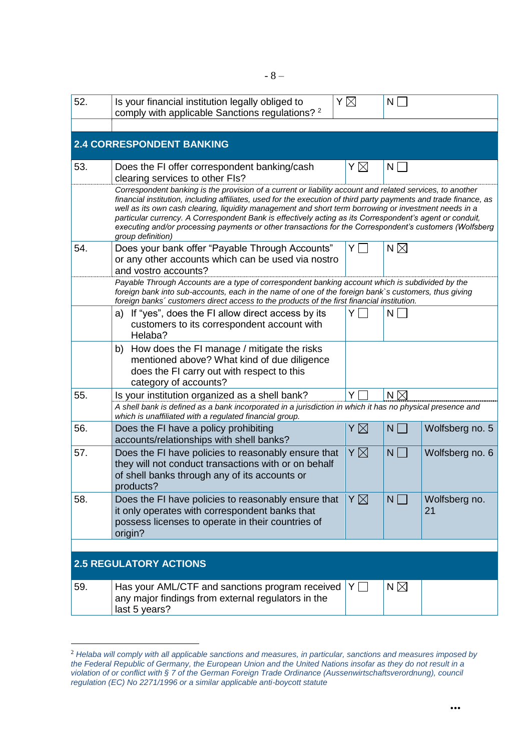| 52. | Is your financial institution legally obliged to<br>comply with applicable Sanctions regulations? <sup>2</sup>                                                                                                                                                                                                                                                                                                                                                                                                                                                                      | ΥÑ       | N             |                     |
|-----|-------------------------------------------------------------------------------------------------------------------------------------------------------------------------------------------------------------------------------------------------------------------------------------------------------------------------------------------------------------------------------------------------------------------------------------------------------------------------------------------------------------------------------------------------------------------------------------|----------|---------------|---------------------|
|     |                                                                                                                                                                                                                                                                                                                                                                                                                                                                                                                                                                                     |          |               |                     |
|     | <b>2.4 CORRESPONDENT BANKING</b>                                                                                                                                                                                                                                                                                                                                                                                                                                                                                                                                                    |          |               |                     |
| 53. | Does the FI offer correspondent banking/cash<br>clearing services to other FIs?                                                                                                                                                                                                                                                                                                                                                                                                                                                                                                     | Υ⊠       | N             |                     |
|     | Correspondent banking is the provision of a current or liability account and related services, to another<br>financial institution, including affiliates, used for the execution of third party payments and trade finance, as<br>well as its own cash clearing, liquidity management and short term borrowing or investment needs in a<br>particular currency. A Correspondent Bank is effectively acting as its Correspondent's agent or conduit,<br>executing and/or processing payments or other transactions for the Correspondent's customers (Wolfsberg<br>group definition) |          |               |                     |
| 54. | Does your bank offer "Payable Through Accounts"<br>or any other accounts which can be used via nostro<br>and vostro accounts?                                                                                                                                                                                                                                                                                                                                                                                                                                                       | YL       | N $\boxtimes$ |                     |
|     | Payable Through Accounts are a type of correspondent banking account which is subdivided by the<br>foreign bank into sub-accounts, each in the name of one of the foreign bank`s customers, thus giving<br>foreign banks' customers direct access to the products of the first financial institution.                                                                                                                                                                                                                                                                               |          |               |                     |
|     | a) If "yes", does the FI allow direct access by its<br>customers to its correspondent account with<br>Helaba?                                                                                                                                                                                                                                                                                                                                                                                                                                                                       |          | N             |                     |
|     | How does the FI manage / mitigate the risks<br>b)<br>mentioned above? What kind of due diligence<br>does the FI carry out with respect to this<br>category of accounts?                                                                                                                                                                                                                                                                                                                                                                                                             |          |               |                     |
| 55. | Is your institution organized as a shell bank?<br>A shell bank is defined as a bank incorporated in a jurisdiction in which it has no physical presence and                                                                                                                                                                                                                                                                                                                                                                                                                         | Y        | N $\boxtimes$ |                     |
| 56. | which is unaffiliated with a regulated financial group.<br>Does the FI have a policy prohibiting<br>accounts/relationships with shell banks?                                                                                                                                                                                                                                                                                                                                                                                                                                        | Y        | $N \Box$      | Wolfsberg no. 5     |
| 57. | Does the FI have policies to reasonably ensure that<br>they will not conduct transactions with or on behalf<br>of shell banks through any of its accounts or<br>products?                                                                                                                                                                                                                                                                                                                                                                                                           | Υ⊠       | $N$ $\Box$    | Wolfsberg no. 6     |
| 58. | Does the FI have policies to reasonably ensure that<br>it only operates with correspondent banks that<br>possess licenses to operate in their countries of<br>origin?                                                                                                                                                                                                                                                                                                                                                                                                               | ΥÑ       | $N \Box$      | Wolfsberg no.<br>21 |
|     |                                                                                                                                                                                                                                                                                                                                                                                                                                                                                                                                                                                     |          |               |                     |
|     | <b>2.5 REGULATORY ACTIONS</b>                                                                                                                                                                                                                                                                                                                                                                                                                                                                                                                                                       |          |               |                     |
| 59. | Has your AML/CTF and sanctions program received<br>any major findings from external regulators in the<br>last 5 years?                                                                                                                                                                                                                                                                                                                                                                                                                                                              | $Y \Box$ | N $\boxtimes$ |                     |

<sup>2</sup> *Helaba will comply with all applicable sanctions and measures, in particular, sanctions and measures imposed by the Federal Republic of Germany, the European Union and the United Nations insofar as they do not result in a violation of or conflict with § 7 of the German Foreign Trade Ordinance (Aussenwirtschaftsverordnung), council regulation (EC) No 2271/1996 or a similar applicable anti-boycott statute*

<u>.</u>

**...**